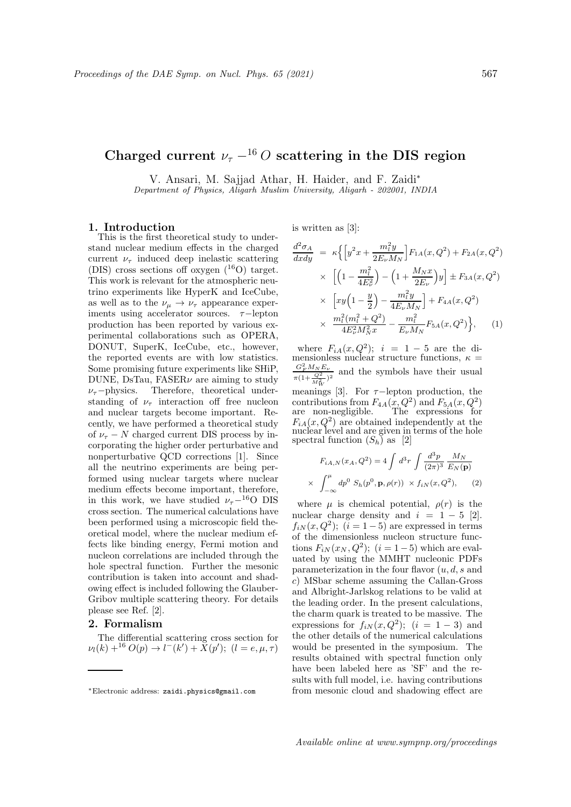## Charged current  $\nu_{\tau}$  –<sup>16</sup> O scattering in the DIS region

V. Ansari, M. Sajjad Athar, H. Haider, and F. Zaidi<sup>∗</sup>

Department of Physics, Aligarh Muslim University, Aligarh - 202001, INDIA

#### 1. Introduction

This is the first theoretical study to understand nuclear medium effects in the charged current  $\nu_{\tau}$  induced deep inelastic scattering (DIS) cross sections off oxygen  $(^{16}O)$  target. This work is relevant for the atmospheric neutrino experiments like HyperK and IceCube, as well as to the  $\nu_{\mu} \rightarrow \nu_{\tau}$  appearance experiments using accelerator sources.  $\tau$ -lepton production has been reported by various experimental collaborations such as OPERA, DONUT, SuperK, IceCube, etc., however, the reported events are with low statistics. Some promising future experiments like SHiP, DUNE, DsTau, FASER $\nu$  are aiming to study  $\nu_{\tau}$ −physics. Therefore, theoretical understanding of  $\nu_{\tau}$  interaction off free nucleon and nuclear targets become important. Recently, we have performed a theoretical study of  $\nu_{\tau}$  − N charged current DIS process by incorporating the higher order perturbative and nonperturbative QCD corrections [1]. Since all the neutrino experiments are being performed using nuclear targets where nuclear medium effects become important, therefore, in this work, we have studied  $\nu_{\tau}$ −<sup>16</sup>O DIS cross section. The numerical calculations have been performed using a microscopic field theoretical model, where the nuclear medium effects like binding energy, Fermi motion and nucleon correlations are included through the hole spectral function. Further the mesonic contribution is taken into account and shadowing effect is included following the Glauber-Gribov multiple scattering theory. For details please see Ref. [2].

### 2. Formalism

The differential scattering cross section for  $\nu_l(k) + ^{16}O(p) \rightarrow l^-(k') + X(p'); \,\,(l = e, \mu, \tau)$  is written as [3]:

×

$$
\frac{d^2 \sigma_A}{dx dy} = \kappa \Big\{ \Big[ y^2 x + \frac{m_l^2 y}{2E_\nu M_N} \Big] F_{1A}(x, Q^2) + F_{2A}(x, Q^2) \times \Big[ \Big( 1 - \frac{m_l^2}{4E_\nu^2} \Big) - \Big( 1 + \frac{M_N x}{2E_\nu} \Big) y \Big] \pm F_{3A}(x, Q^2) \times \Big[ xy \Big( 1 - \frac{y}{2} \Big) - \frac{m_l^2 y}{4E_\nu M_N} \Big] + F_{4A}(x, Q^2) \times \frac{m_l^2 (m_l^2 + Q^2)}{4E_\nu^2 M_N^2 x} - \frac{m_l^2}{E_\nu M_N} F_{5A}(x, Q^2) \Big\}, \quad (1)
$$

where  $F_{iA}(x,Q^2); i = 1-5$  are the dimensionless nuclear structure functions,  $\kappa =$  $\frac{G_F^2 M_N E_\nu}{\pi (1 + \frac{Q^2}{M_W^2})^2}$  and the symbols have their usual

meanings [3]. For  $\tau$ -lepton production, the contributions from  $F_{4A}(x,Q^2)$  and  $F_{5A}(x,Q^2)$ are non-negligible. The expressions for  $F_{iA}(x,Q^2)$  are obtained independently at the nuclear level and are given in terms of the hole spectral function  $(S_h)$  as [2]

$$
F_{iA,N}(x_A, Q^2) = 4 \int d^3r \int \frac{d^3p}{(2\pi)^3} \frac{M_N}{E_N(\mathbf{p})}
$$
  

$$
\int_{-\infty}^{\mu} dp^0 S_h(p^0, \mathbf{p}, \rho(r)) \times f_{iN}(x, Q^2), \qquad (2)
$$

where  $\mu$  is chemical potential,  $\rho(r)$  is the nuclear charge density and  $i = 1 - 5$  [2].  $f_{iN}(x,Q^2);$   $(i = 1-5)$  are expressed in terms of the dimensionless nucleon structure functions  $F_{iN}(x_N, Q^2)$ ;  $(i = 1-5)$  which are evaluated by using the MMHT nucleonic PDFs parameterization in the four flavor  $(u, d, s)$  and c) MSbar scheme assuming the Callan-Gross and Albright-Jarlskog relations to be valid at the leading order. In the present calculations, the charm quark is treated to be massive. The expressions for  $f_{iN}(x,Q^2)$ ;  $(i = 1-3)$  and the other details of the numerical calculations would be presented in the symposium. The results obtained with spectral function only have been labeled here as 'SF' and the results with full model, i.e. having contributions from mesonic cloud and shadowing effect are

<sup>∗</sup>Electronic address: zaidi.physics@gmail.com